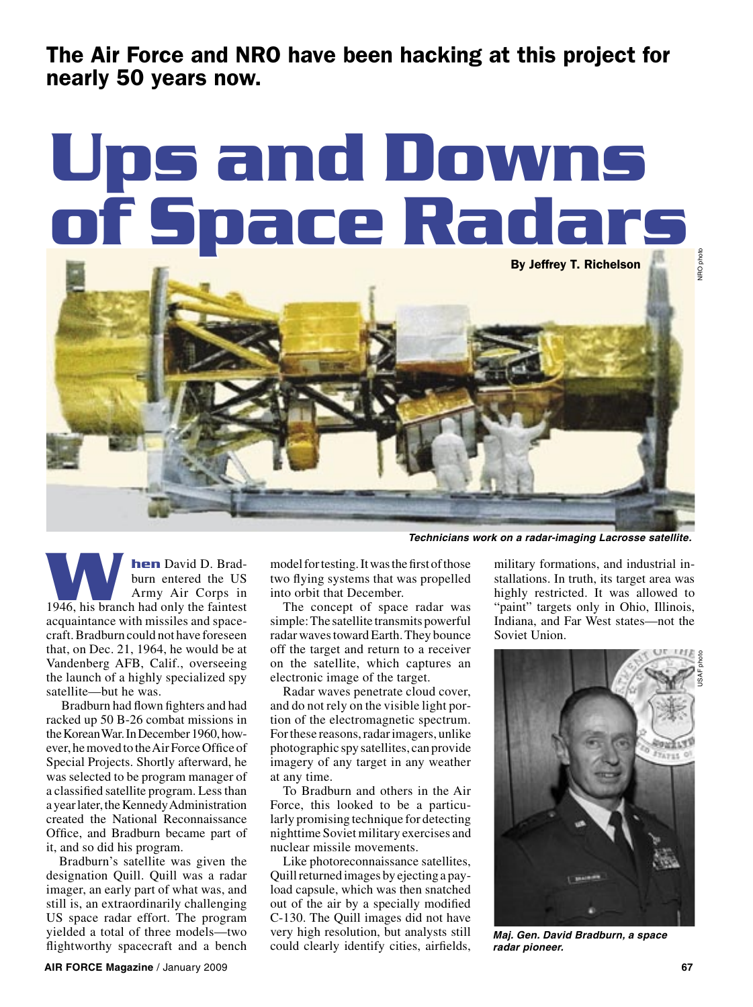The Air Force and NRO have been hacking at this project for nearly 50 years now.

## **Ups and Downs of Space Radars**



**hen** David D. Bradburn entered the US Army Air Corps in **hen** David D. Bradburn entered the US<br>Army Air Corps in<br>1946, his branch had only the faintest acquaintance with missiles and spacecraft. Bradburn could not have foreseen that, on Dec. 21, 1964, he would be at Vandenberg AFB, Calif., overseeing the launch of a highly specialized spy satellite—but he was.

 Bradburn had flown fighters and had racked up 50 B-26 combat missions in the Korean War. In December 1960, however, he moved to the Air Force Office of Special Projects. Shortly afterward, he was selected to be program manager of a classified satellite program. Less than a year later, the Kennedy Administration created the National Reconnaissance Office, and Bradburn became part of it, and so did his program.

Bradburn's satellite was given the designation Quill. Quill was a radar imager, an early part of what was, and still is, an extraordinarily challenging US space radar effort. The program yielded a total of three models—two flightworthy spacecraft and a bench

model for testing. It was the first of those two flying systems that was propelled into orbit that December.

The concept of space radar was simple: The satellite transmits powerful radar waves toward Earth. They bounce off the target and return to a receiver on the satellite, which captures an electronic image of the target.

Radar waves penetrate cloud cover, and do not rely on the visible light portion of the electromagnetic spectrum. For these reasons, radar imagers, unlike photographic spy satellites, can provide imagery of any target in any weather at any time.

To Bradburn and others in the Air Force, this looked to be a particularly promising technique for detecting nighttime Soviet military exercises and nuclear missile movements.

Like photoreconnaissance satellites, Quill returned images by ejecting a payload capsule, which was then snatched out of the air by a specially modified C-130. The Quill images did not have very high resolution, but analysts still could clearly identify cities, airfields,

military formations, and industrial installations. In truth, its target area was highly restricted. It was allowed to "paint" targets only in Ohio, Illinois, Indiana, and Far West states—not the Soviet Union.

**Technicians work on a radar-imaging Lacrosse satellite.**



**Maj. Gen. David Bradburn, a space radar pioneer.**

NRO photo

IRO phot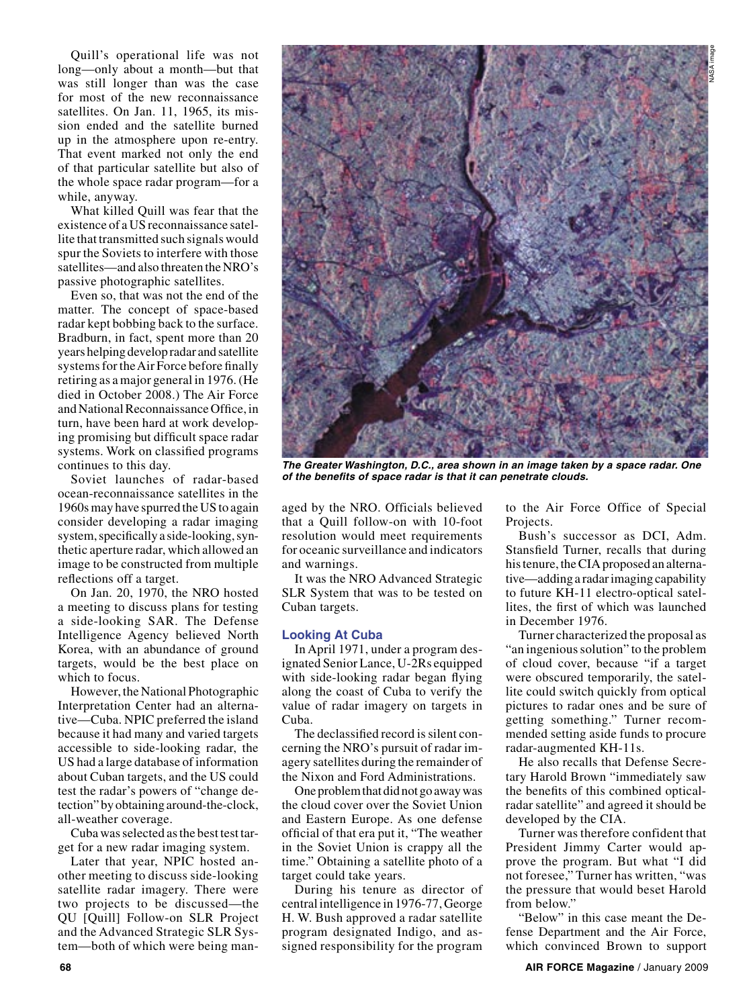Quill's operational life was not long—only about a month—but that was still longer than was the case for most of the new reconnaissance satellites. On Jan. 11, 1965, its mission ended and the satellite burned up in the atmosphere upon re-entry. That event marked not only the end of that particular satellite but also of the whole space radar program—for a while, anyway.

What killed Quill was fear that the existence of a US reconnaissance satellite that transmitted such signals would spur the Soviets to interfere with those satellites—and also threaten the NRO's passive photographic satellites.

Even so, that was not the end of the matter. The concept of space-based radar kept bobbing back to the surface. Bradburn, in fact, spent more than 20 years helping develop radar and satellite systems for the Air Force before finally retiring as a major general in 1976. (He died in October 2008.) The Air Force and National Reconnaissance Office, in turn, have been hard at work developing promising but difficult space radar systems. Work on classified programs continues to this day.

Soviet launches of radar-based ocean-reconnaissance satellites in the 1960s may have spurred the US to again consider developing a radar imaging system, specifically a side-looking, synthetic aperture radar, which allowed an image to be constructed from multiple reflections off a target.

On Jan. 20, 1970, the NRO hosted a meeting to discuss plans for testing a side-looking SAR. The Defense Intelligence Agency believed North Korea, with an abundance of ground targets, would be the best place on which to focus.

However, the National Photographic Interpretation Center had an alternative—Cuba. NPIC preferred the island because it had many and varied targets accessible to side-looking radar, the US had a large database of information about Cuban targets, and the US could test the radar's powers of "change detection" by obtaining around-the-clock, all-weather coverage.

Cuba was selected as the best test target for a new radar imaging system.

Later that year, NPIC hosted another meeting to discuss side-looking satellite radar imagery. There were two projects to be discussed—the QU [Quill] Follow-on SLR Project and the Advanced Strategic SLR System—both of which were being man-



**The Greater Washington, D.C., area shown in an image taken by a space radar. One of the benefits of space radar is that it can penetrate clouds.**

aged by the NRO. Officials believed that a Quill follow-on with 10-foot resolution would meet requirements for oceanic surveillance and indicators and warnings.

It was the NRO Advanced Strategic SLR System that was to be tested on Cuban targets.

## **Looking At Cuba**

In April 1971, under a program designated Senior Lance, U-2Rs equipped with side-looking radar began flying along the coast of Cuba to verify the value of radar imagery on targets in Cuba.

The declassified record is silent concerning the NRO's pursuit of radar imagery satellites during the remainder of the Nixon and Ford Administrations.

One problem that did not go away was the cloud cover over the Soviet Union and Eastern Europe. As one defense official of that era put it, "The weather in the Soviet Union is crappy all the time." Obtaining a satellite photo of a target could take years.

During his tenure as director of central intelligence in 1976-77, George H. W. Bush approved a radar satellite program designated Indigo, and assigned responsibility for the program to the Air Force Office of Special Projects.

Bush's successor as DCI, Adm. Stansfield Turner, recalls that during his tenure, the CIA proposed an alternative—adding a radar imaging capability to future KH-11 electro-optical satellites, the first of which was launched in December 1976.

Turner characterized the proposal as "an ingenious solution" to the problem of cloud cover, because "if a target were obscured temporarily, the satellite could switch quickly from optical pictures to radar ones and be sure of getting something." Turner recommended setting aside funds to procure radar-augmented KH-11s.

He also recalls that Defense Secretary Harold Brown "immediately saw the benefits of this combined opticalradar satellite" and agreed it should be developed by the CIA.

Turner was therefore confident that President Jimmy Carter would approve the program. But what "I did not foresee," Turner has written, "was the pressure that would beset Harold from below."

"Below" in this case meant the Defense Department and the Air Force, which convinced Brown to support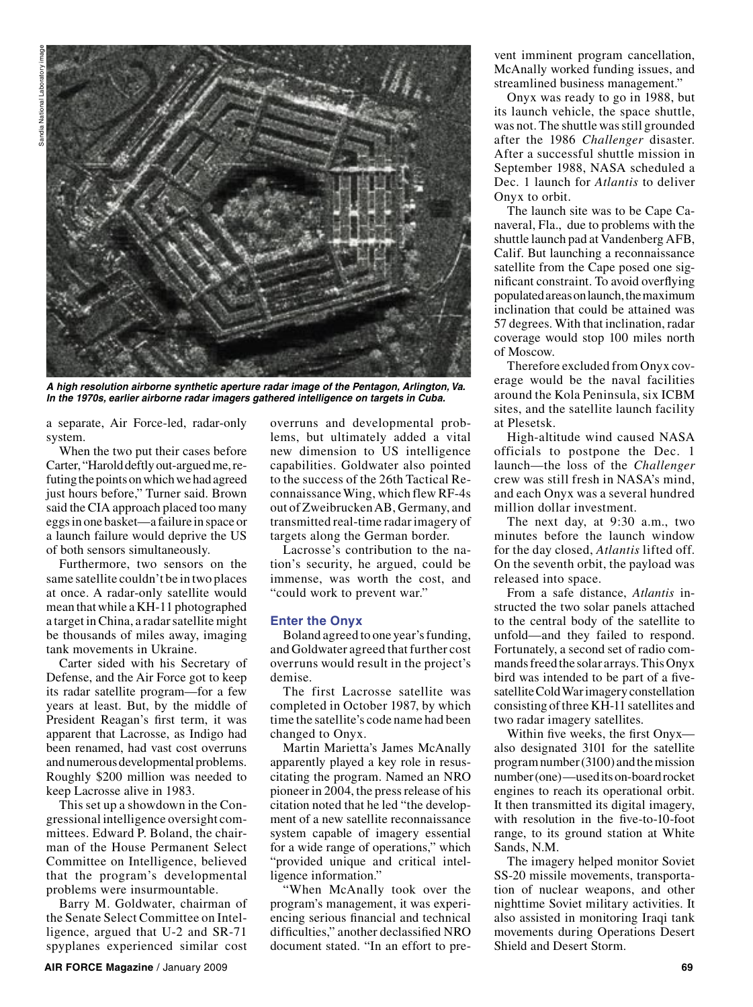

**A high resolution airborne synthetic aperture radar image of the Pentagon, Arlington, Va. In the 1970s, earlier airborne radar imagers gathered intelligence on targets in Cuba.**

a separate, Air Force-led, radar-only system.

When the two put their cases before Carter, "Harold deftly out-argued me, refuting the points on which we had agreed just hours before," Turner said. Brown said the CIA approach placed too many eggs in one basket—a failure in space or a launch failure would deprive the US of both sensors simultaneously.

Furthermore, two sensors on the same satellite couldn't be in two places at once. A radar-only satellite would mean that while a KH-11 photographed a target in China, a radar satellite might be thousands of miles away, imaging tank movements in Ukraine.

Carter sided with his Secretary of Defense, and the Air Force got to keep its radar satellite program—for a few years at least. But, by the middle of President Reagan's first term, it was apparent that Lacrosse, as Indigo had been renamed, had vast cost overruns and numerous developmental problems. Roughly \$200 million was needed to keep Lacrosse alive in 1983.

This set up a showdown in the Congressional intelligence oversight committees. Edward P. Boland, the chairman of the House Permanent Select Committee on Intelligence, believed that the program's developmental problems were insurmountable.

Barry M. Goldwater, chairman of the Senate Select Committee on Intelligence, argued that U-2 and SR-71 spyplanes experienced similar cost overruns and developmental problems, but ultimately added a vital new dimension to US intelligence capabilities. Goldwater also pointed to the success of the 26th Tactical Reconnaissance Wing, which flew RF-4s out of Zweibrucken AB, Germany, and transmitted real-time radar imagery of targets along the German border.

Lacrosse's contribution to the nation's security, he argued, could be immense, was worth the cost, and "could work to prevent war."

## **Enter the Onyx**

Boland agreed to one year's funding, and Goldwater agreed that further cost overruns would result in the project's demise.

The first Lacrosse satellite was completed in October 1987, by which time the satellite's code name had been changed to Onyx.

Martin Marietta's James McAnally apparently played a key role in resuscitating the program. Named an NRO pioneer in 2004, the press release of his citation noted that he led "the development of a new satellite reconnaissance system capable of imagery essential for a wide range of operations," which "provided unique and critical intelligence information."

"When McAnally took over the program's management, it was experiencing serious financial and technical difficulties," another declassified NRO document stated. "In an effort to prevent imminent program cancellation, McAnally worked funding issues, and streamlined business management."

Onyx was ready to go in 1988, but its launch vehicle, the space shuttle, was not. The shuttle was still grounded after the 1986 *Challenger* disaster. After a successful shuttle mission in September 1988, NASA scheduled a Dec. 1 launch for *Atlantis* to deliver Onyx to orbit.

The launch site was to be Cape Canaveral, Fla., due to problems with the shuttle launch pad at Vandenberg AFB, Calif. But launching a reconnaissance satellite from the Cape posed one significant constraint. To avoid overflying populated areas on launch, the maximum inclination that could be attained was 57 degrees. With that inclination, radar coverage would stop 100 miles north of Moscow.

Therefore excluded from Onyx coverage would be the naval facilities around the Kola Peninsula, six ICBM sites, and the satellite launch facility at Plesetsk.

High-altitude wind caused NASA officials to postpone the Dec. 1 launch—the loss of the *Challenger* crew was still fresh in NASA's mind, and each Onyx was a several hundred million dollar investment.

The next day, at 9:30 a.m., two minutes before the launch window for the day closed, *Atlantis* lifted off. On the seventh orbit, the payload was released into space.

From a safe distance, *Atlantis* instructed the two solar panels attached to the central body of the satellite to unfold—and they failed to respond. Fortunately, a second set of radio commands freed the solar arrays. This Onyx bird was intended to be part of a fivesatellite Cold War imagery constellation consisting of three KH-11 satellites and two radar imagery satellites.

Within five weeks, the first Onyx also designated 3101 for the satellite program number (3100) and the mission number (one)—used its on-board rocket engines to reach its operational orbit. It then transmitted its digital imagery, with resolution in the five-to-10-foot range, to its ground station at White Sands, N.M.

The imagery helped monitor Soviet SS-20 missile movements, transportation of nuclear weapons, and other nighttime Soviet military activities. It also assisted in monitoring Iraqi tank movements during Operations Desert Shield and Desert Storm.